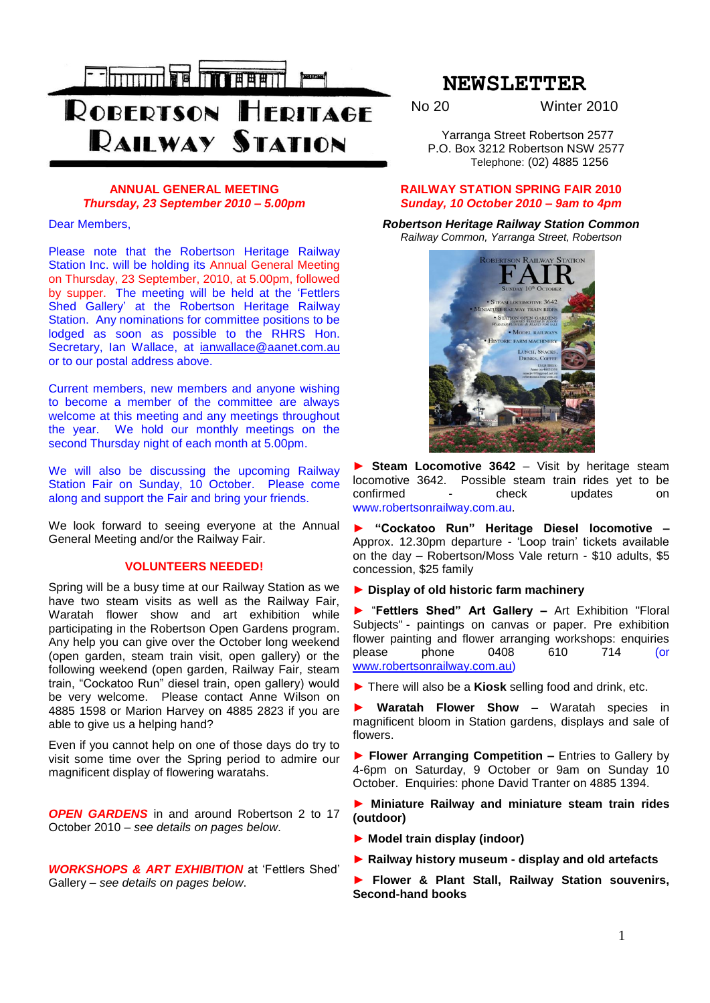

# **ANNUAL GENERAL MEETING** *Thursday, 23 September 2010 – 5.00pm*

Dear Members,

Please note that the Robertson Heritage Railway Station Inc. will be holding its Annual General Meeting on Thursday, 23 September, 2010, at 5.00pm, followed by supper. The meeting will be held at the "Fettlers Shed Gallery" at the Robertson Heritage Railway Station. Any nominations for committee positions to be lodged as soon as possible to the RHRS Hon. Secretary, Ian Wallace, at [ianwallace@aanet.com.au](mailto:ianwallace@aanet.com.au) or to our postal address above.

Current members, new members and anyone wishing to become a member of the committee are always welcome at this meeting and any meetings throughout the year. We hold our monthly meetings on the second Thursday night of each month at 5.00pm.

We will also be discussing the upcoming Railway Station Fair on Sunday, 10 October. Please come along and support the Fair and bring your friends.

We look forward to seeing everyone at the Annual General Meeting and/or the Railway Fair.

# **VOLUNTEERS NEEDED!**

Spring will be a busy time at our Railway Station as we have two steam visits as well as the Railway Fair, Waratah flower show and art exhibition while participating in the Robertson Open Gardens program. Any help you can give over the October long weekend (open garden, steam train visit, open gallery) or the following weekend (open garden, Railway Fair, steam train, "Cockatoo Run" diesel train, open gallery) would be very welcome. Please contact Anne Wilson on 4885 1598 or Marion Harvey on 4885 2823 if you are able to give us a helping hand?

Even if you cannot help on one of those days do try to visit some time over the Spring period to admire our magnificent display of flowering waratahs.

*OPEN GARDENS* in and around Robertson 2 to 17 October 2010 – *see details on pages below*.

*WORKSHOPS & ART EXHIBITION* at "Fettlers Shed" Gallery – *see details on pages below*.

# **NEWSLETTER**

No 20 Winter 2010

 Yarranga Street Robertson 2577 P.O. Box 3212 Robertson NSW 2577 Telephone: (02) 4885 1256

# **RAILWAY STATION SPRING FAIR 2010** *Sunday, 10 October 2010 – 9am to 4pm*

*Robertson Heritage Railway Station Common Railway Common, Yarranga Street, Robertson*



**Steam Locomotive 3642** – Visit by heritage steam locomotive 3642. Possible steam train rides yet to be confirmed - check updates on www.robertsonrailway.com.au.

**► "Cockatoo Run" Heritage Diesel locomotive –** Approx. 12.30pm departure - "Loop train" tickets available on the day – Robertson/Moss Vale return - \$10 adults, \$5 concession, \$25 family

## **► Display of old historic farm machinery**

**►** "**Fettlers Shed" Art Gallery –** Art Exhibition "Floral Subjects" - paintings on canvas or paper. Pre exhibition flower painting and flower arranging workshops: enquiries please phone 0408 610 714 (or [www.robertsonrailway.com.au\)](http://www.robertsonrailway.com.au/)

**►** There will also be a **Kiosk** selling food and drink, etc.

**► Waratah Flower Show** – Waratah species in magnificent bloom in Station gardens, displays and sale of flowers.

**► Flower Arranging Competition –** Entries to Gallery by 4-6pm on Saturday, 9 October or 9am on Sunday 10 October. Enquiries: phone David Tranter on 4885 1394.

**► Miniature Railway and miniature steam train rides (outdoor)**

- **► Model train display (indoor)**
- **► Railway history museum - display and old artefacts**
- **► Flower & Plant Stall, Railway Station souvenirs, Second-hand books**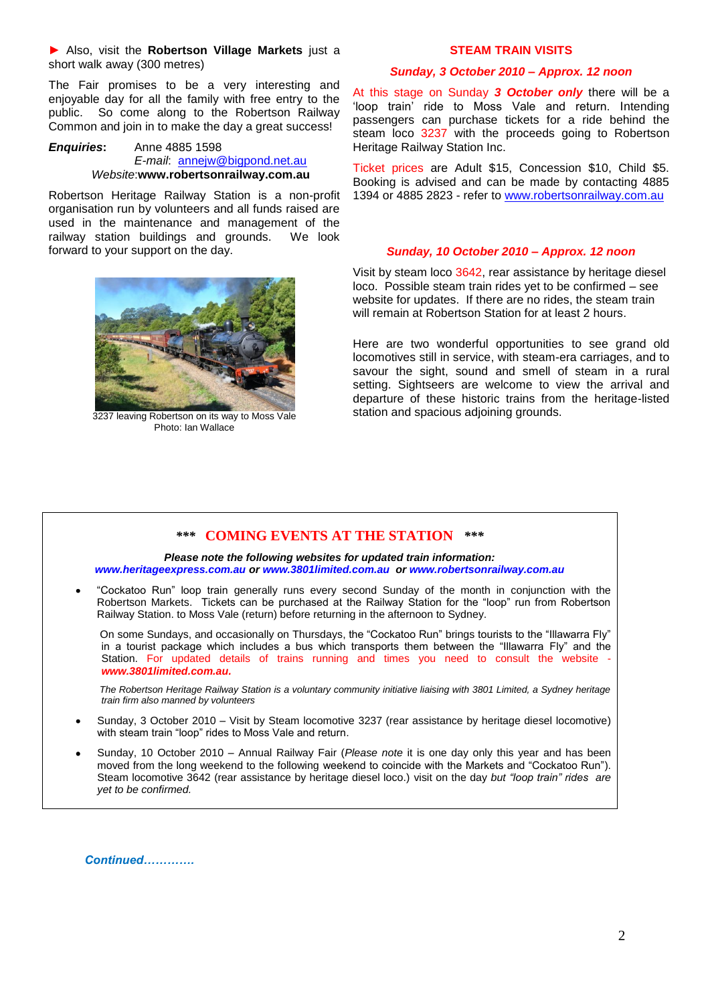## **►** Also, visit the **Robertson Village Markets** just a short walk away (300 metres)

The Fair promises to be a very interesting and enjoyable day for all the family with free entry to the public. So come along to the Robertson Railway Common and join in to make the day a great success!

#### *Enquiries***:** Anne 4885 1598 *E-mail*: [annejw@bigpond.net.au](mailto:annejw@bigpond.net.au) *Website*:**www.robertsonrailway.com.au**

Robertson Heritage Railway Station is a non-profit organisation run by volunteers and all funds raised are used in the maintenance and management of the railway station buildings and grounds. We look forward to your support on the day.



3237 leaving Robertson on its way to Moss Vale Photo: Ian Wallace

## **STEAM TRAIN VISITS**

# *Sunday, 3 October 2010 – Approx. 12 noon*

At this stage on Sunday *3 October only* there will be a 'loop train' ride to Moss Vale and return. Intending passengers can purchase tickets for a ride behind the steam loco 3237 with the proceeds going to Robertson Heritage Railway Station Inc.

Ticket prices are Adult \$15, Concession \$10, Child \$5. Booking is advised and can be made by contacting 4885 1394 or 4885 2823 - refer to [www.robertsonrailway.com.au](http://www.robertsonrailway.com.au/)

# *Sunday, 10 October 2010 – Approx. 12 noon*

Visit by steam loco 3642, rear assistance by heritage diesel loco. Possible steam train rides yet to be confirmed – see website for updates. If there are no rides, the steam train will remain at Robertson Station for at least 2 hours.

Here are two wonderful opportunities to see grand old locomotives still in service, with steam-era carriages, and to savour the sight, sound and smell of steam in a rural setting. Sightseers are welcome to view the arrival and departure of these historic trains from the heritage-listed station and spacious adjoining grounds.

# *\*\*\** **COMING EVENTS AT THE STATION** *\*\*\**

*Please note the following websites for updated train information: [www.heritageexpress.com.au](http://www.heritageexpress.com.au/) or [www.3801limited.com.au](http://www.3801limited.com.au/) or www.robertsonrailway.com.au*

"Cockatoo Run" loop train generally runs every second Sunday of the month in conjunction with the Robertson Markets. Tickets can be purchased at the Railway Station for the "loop" run from Robertson Railway Station. to Moss Vale (return) before returning in the afternoon to Sydney.

On some Sundays, and occasionally on Thursdays, the "Cockatoo Run" brings tourists to the "Illawarra Fly" in a tourist package which includes a bus which transports them between the "Illawarra Fly" and the Station. For updated details of trains running and times you need to consult the website *[www.3801limited.com.au.](http://www.3801limited.com.au/)*

 *The Robertson Heritage Railway Station is a voluntary community initiative liaising with 3801 Limited, a Sydney heritage train firm also manned by volunteers*

- Sunday, 3 October 2010 Visit by Steam locomotive 3237 (rear assistance by heritage diesel locomotive) with steam train "loop" rides to Moss Vale and return.
- Sunday, 10 October 2010 Annual Railway Fair (*Please note* it is one day only this year and has been moved from the long weekend to the following weekend to coincide with the Markets and "Cockatoo Run"). Steam locomotive 3642 (rear assistance by heritage diesel loco.) visit on the day *but "loop train" rides are yet to be confirmed.*

*Continued………….*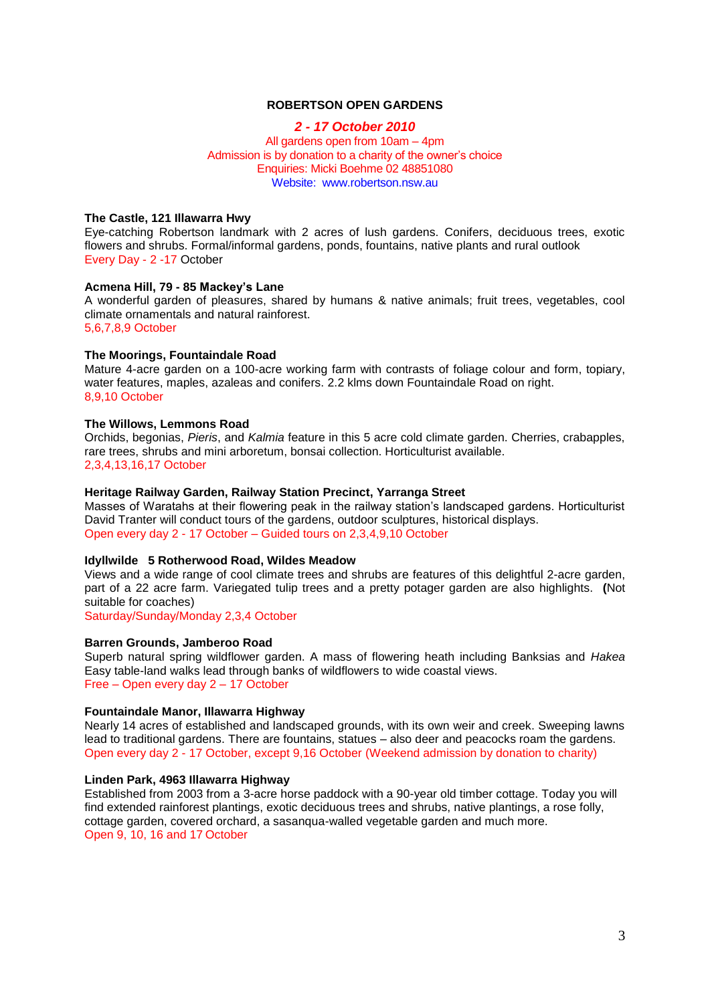## **ROBERTSON OPEN GARDENS**

## *2 - 17 October 2010* All gardens open from 10am – 4pm Admission is by donation to a charity of the owner's choice Enquiries: Micki Boehme 02 48851080 Website: www.robertson.nsw.au

#### **The Castle, 121 Illawarra Hwy**

Eye-catching Robertson landmark with 2 acres of lush gardens. Conifers, deciduous trees, exotic flowers and shrubs. Formal/informal gardens, ponds, fountains, native plants and rural outlook Every Day - 2 -17 October

## **Acmena Hill, 79 - 85 Mackey's Lane**

A wonderful garden of pleasures, shared by humans & native animals; fruit trees, vegetables, cool climate ornamentals and natural rainforest. 5,6,7,8,9 October

# **The Moorings, Fountaindale Road**

Mature 4-acre garden on a 100-acre working farm with contrasts of foliage colour and form, topiary, water features, maples, azaleas and conifers. 2.2 klms down Fountaindale Road on right. 8,9,10 October

#### **The Willows, Lemmons Road**

Orchids, begonias, *Pieris*, and *Kalmia* feature in this 5 acre cold climate garden. Cherries, crabapples, rare trees, shrubs and mini arboretum, bonsai collection. Horticulturist available. 2,3,4,13,16,17 October

## **Heritage Railway Garden, Railway Station Precinct, Yarranga Street**

Masses of Waratahs at their flowering peak in the railway station"s landscaped gardens. Horticulturist David Tranter will conduct tours of the gardens, outdoor sculptures, historical displays. Open every day 2 - 17 October – Guided tours on 2,3,4,9,10 October

## **Idyllwilde 5 Rotherwood Road, Wildes Meadow**

Views and a wide range of cool climate trees and shrubs are features of this delightful 2-acre garden, part of a 22 acre farm. Variegated tulip trees and a pretty potager garden are also highlights. **(**Not suitable for coaches)

Saturday/Sunday/Monday 2,3,4 October

## **Barren Grounds, Jamberoo Road**

Superb natural spring wildflower garden. A mass of flowering heath including Banksias and *Hakea* Easy table-land walks lead through banks of wildflowers to wide coastal views. Free – Open every day 2 – 17 October

## **Fountaindale Manor, Illawarra Highway**

Nearly 14 acres of established and landscaped grounds, with its own weir and creek. Sweeping lawns lead to traditional gardens. There are fountains, statues – also deer and peacocks roam the gardens. Open every day 2 - 17 October, except 9,16 October (Weekend admission by donation to charity)

# **Linden Park, 4963 Illawarra Highway**

Established from 2003 from a 3-acre horse paddock with a 90-year old timber cottage. Today you will find extended rainforest plantings, exotic deciduous trees and shrubs, native plantings, a rose folly, cottage garden, covered orchard, a sasanqua-walled vegetable garden and much more. Open 9, 10, 16 and 17 October